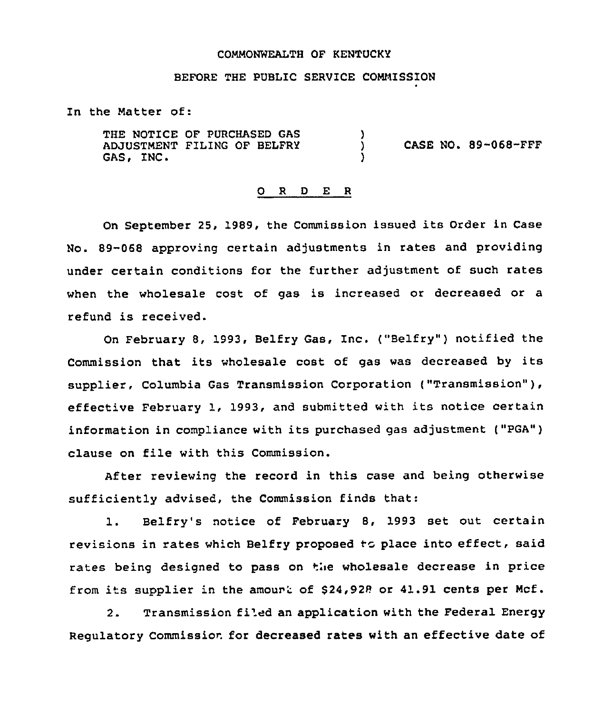## COMMONWEALTH OF KENTUCKY

## BEFORE THE PUBLIC SERVICE CONNISSION

In the Natter of:

THE NOTICE OF PURCHASED GAS ADJUSTMENT FILING OF BELFRY (CASE NO. 89-068-FFF<br>GAS, INC. )

# 0 <sup>R</sup> <sup>D</sup> E <sup>R</sup>

On September 25, 1989, the Commission issued its Order in Case No. 89-068 approving certain adjustments in rates and providing under certain conditions for the further adjustment of such rates when the wholesale cost of gas is increased or decreased or a refund is received.

On February 8, 1993, Belfry Gas, Inc. ("Belfry" ) notified the Commission that its wholesale cost of gas was decreased by its supplier, Columbia Gas Transmission Corporation ("Transmission" ), effective February 1, 1993, and submitted with its notice certain information in compliance with its purchased gas adjustment ("PGA") clause on file with this Commission.

After reviewing the record in this case and being otherwise sufficiently advised, the Commission finds that:

1. Belfry's notice of February 8, 1993 set out certain revisions in rates which Belfry proposed to place into effect, said rates being designed to pass on the wholesale decrease in price<br>from its supplier in the amourt of \$24,928 or 41.91 cents per Mcf.

2. Transmission filed an application with the Federal Energy Regulatory Commission for decreased rates with an effective date of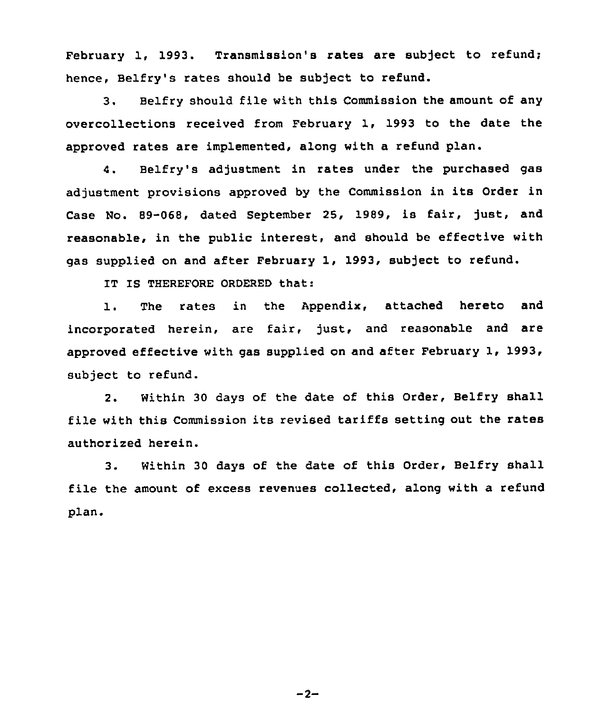February 1, 1993. Transmission's rates are subject to refund; hence, Belfry's rates should be subject to refund.

3. Belfry should file with this Commission the amount of any overcollections received from February 1, 1993 to the date the approved rates are implemented, along with a refund plan.

4. Belfry's adjustment in rates under the purchased gas adjustment provisions approved by the Commission in its Order in Case No. 89-068, dated September 25, 1989, is fair, just, and reasonable, in the public interest, and should be effective with gas supplied on and after February 1, 1993, subject to refund.

IT IS THEREFORE ORDERED that:

1. The rates in the Appendix, attached hereto and incorporated herein, are fair, just, and reasonable and are approved effective with gas supplied on and after February 1, 1993, subject to refund.

2. Within 30 days of the date of this Order, Belfry shall file with this Commission its revised tariffs setting out the rates authorized herein.

3. Within 30 days of the date of this Order, Belfry shall file the amount of excess revenues collected, along with a refund plan.

 $-2-$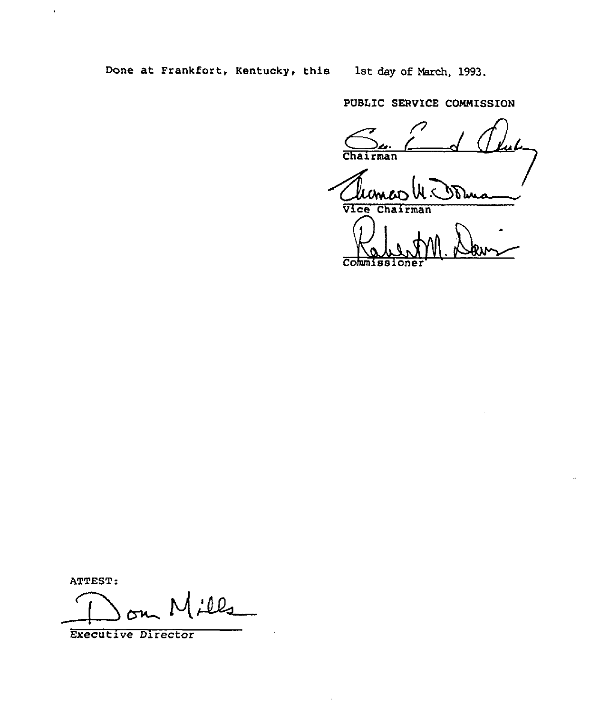Done at Frankfort, Kentucky, this 1st day of March, 1993.

PUBLIC SERVICE COMMISSION

 $\frac{C_{u}}{C_{\text{pair}}-1}$   $\frac{C_{u}}{C_{\text{pair}}}$ Chairman

Chairman<br>Vice Chairman

Commission

ATTEST:

 $\ddot{\phantom{1}}$ 

 $100$ 

Executive Director